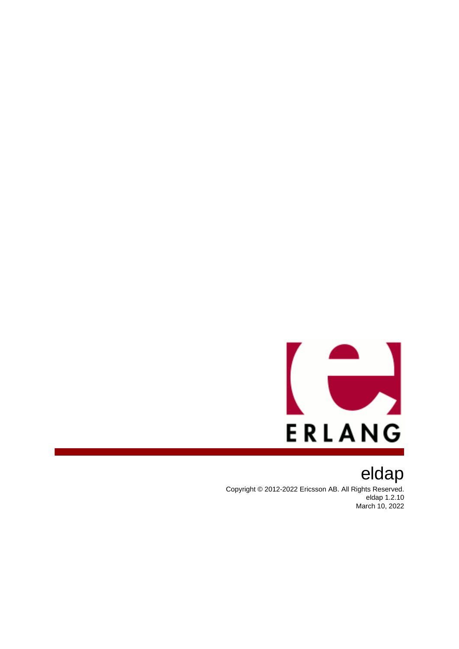

eldap Copyright © 2012-2022 Ericsson AB. All Rights Reserved. eldap 1.2.10 March 10, 2022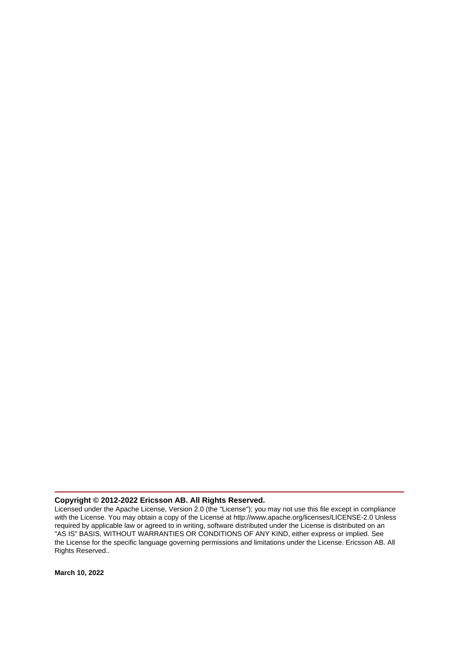### **Copyright © 2012-2022 Ericsson AB. All Rights Reserved.**

Licensed under the Apache License, Version 2.0 (the "License"); you may not use this file except in compliance with the License. You may obtain a copy of the License at http://www.apache.org/licenses/LICENSE-2.0 Unless required by applicable law or agreed to in writing, software distributed under the License is distributed on an "AS IS" BASIS, WITHOUT WARRANTIES OR CONDITIONS OF ANY KIND, either express or implied. See the License for the specific language governing permissions and limitations under the License. Ericsson AB. All Rights Reserved..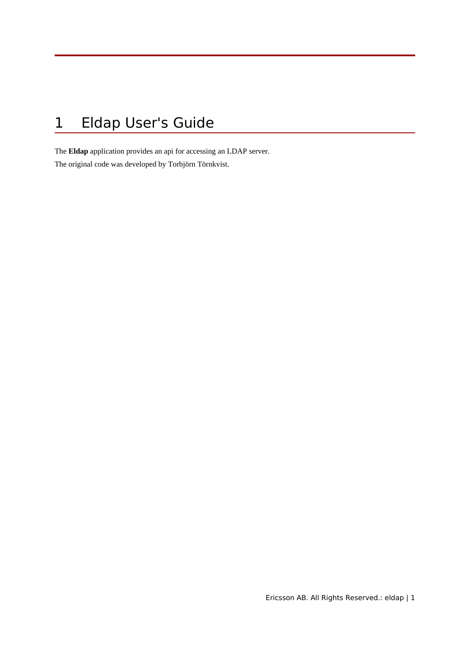# 1 Eldap User's Guide

The **Eldap** application provides an api for accessing an LDAP server. The original code was developed by Torbjörn Törnkvist.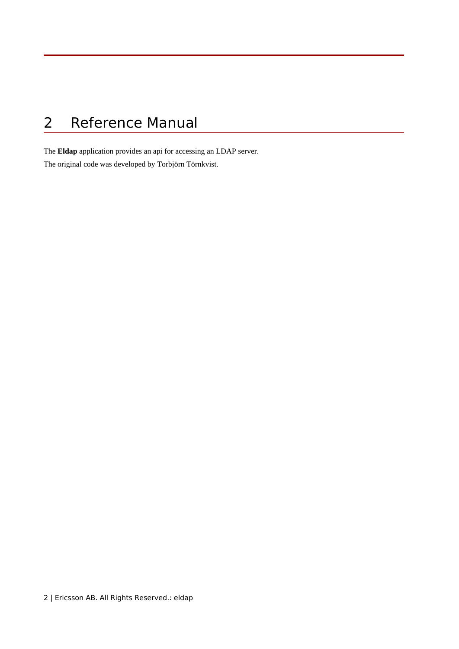# 2 Reference Manual

The **Eldap** application provides an api for accessing an LDAP server.

The original code was developed by Torbjörn Törnkvist.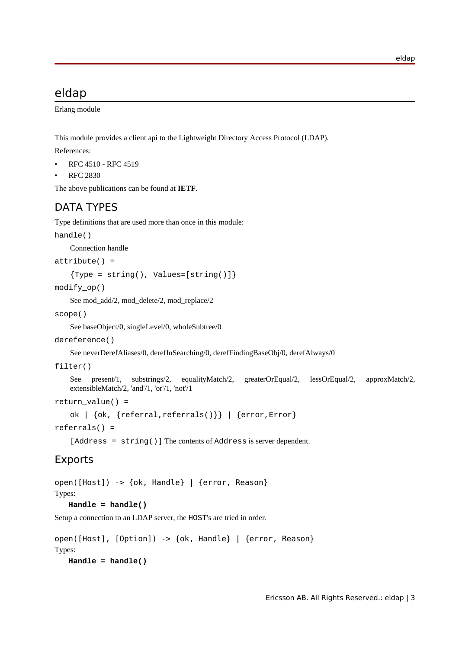## eldap

Erlang module

This module provides a client api to the Lightweight Directory Access Protocol (LDAP).

References:

- RFC 4510 RFC 4519
- RFC 2830

The above publications can be found at **[IETF](href)**.

## DATA TYPES

Type definitions that are used more than once in this module:

```
handle()
```
Connection handle

```
attribute() =
```

```
\{Type = string(), Values=[string()]\}
```
modify\_op()

See mod\_add/2, mod\_delete/2, mod\_replace/2

scope()

See baseObject/0, singleLevel/0, wholeSubtree/0

```
dereference()
```
See neverDerefAliases/0, derefInSearching/0, derefFindingBaseObj/0, derefAlways/0

```
filter()
```

```
See present/1, substrings/2, equalityMatch/2, greaterOrEqual/2, lessOrEqual/2, approxMatch/2,
extensibleMatch/2, 'and'/1, 'or'/1, 'not'/1
```

```
return_value() =
```

```
ok | {ok, {referral,referrals()}} | {error,Error}
```
referrals() =

[Address = string()] The contents of Address is server dependent.

## Exports

```
open([Host]) -> {ok, Handle} | {error, Reason}
```
## Types:

**Handle = handle()**

Setup a connection to an LDAP server, the HOST's are tried in order.

```
open([Host], [Option]) -> {ok, Handle} | {error, Reason}
Types:
   Handle = handle()
```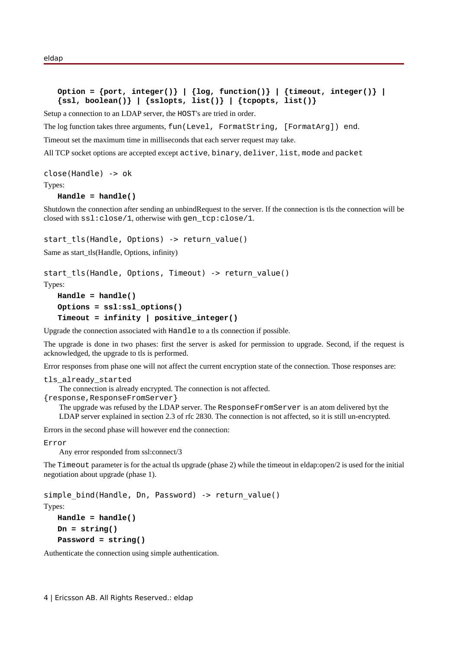```
Option = {port, integer()} | {log, function()} | {timeout, integer()} |
{ssl, boolean()} | {sslopts, list()} | {tcpopts, list()}
```
Setup a connection to an LDAP server, the HOST's are tried in order.

The log function takes three arguments, fun(Level, FormatString, [FormatArg]) end.

Timeout set the maximum time in milliseconds that each server request may take.

All TCP socket options are accepted except active, binary, deliver, list, mode and packet

```
close(Handle) -> ok
```
Types:

#### **Handle = handle()**

Shutdown the connection after sending an unbindRequest to the server. If the connection is tls the connection will be closed with ssl:close/1, otherwise with gen\_tcp:close/1.

start tls(Handle, Options) -> return value()

Same as start\_tls(Handle, Options, infinity)

```
start tls(Handle, Options, Timeout) -> return value()
Types:
   Handle = handle()
```

```
Options = ssl:ssl_options()
Timeout = infinity | positive_integer()
```
Upgrade the connection associated with Handle to a tls connection if possible.

The upgrade is done in two phases: first the server is asked for permission to upgrade. Second, if the request is acknowledged, the upgrade to tls is performed.

Error responses from phase one will not affect the current encryption state of the connection. Those responses are:

```
tls_already_started
```
The connection is already encrypted. The connection is not affected.

{response,ResponseFromServer}

The upgrade was refused by the LDAP server. The ResponseFromServer is an atom delivered byt the LDAP server explained in section 2.3 of rfc 2830. The connection is not affected, so it is still un-encrypted.

Errors in the second phase will however end the connection:

Error

Any error responded from ssl:connect/3

The Timeout parameter is for the actual tls upgrade (phase 2) while the timeout in eldap:open/2 is used for the initial negotiation about upgrade (phase 1).

simple bind(Handle, Dn, Password) -> return value()

Types:

```
Handle = handle()
Dn = string()
Password = string()
```
Authenticate the connection using simple authentication.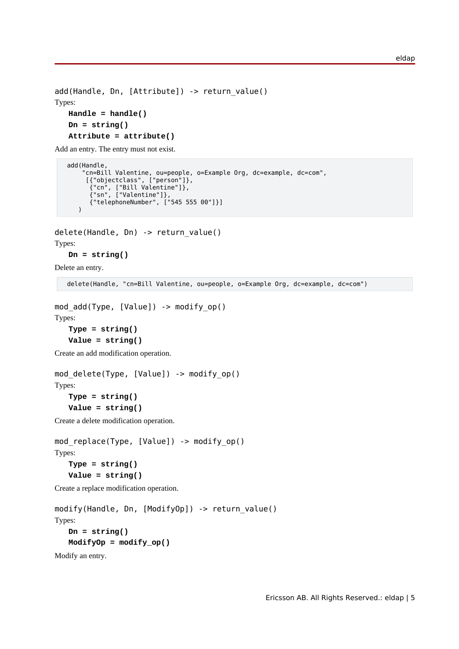```
add(Handle, Dn, [Attribute]) -> return value()
Types:
   Handle = handle()
   Dn = string()
   Attribute = attribute()
```
Add an entry. The entry must not exist.

```
 add(Handle,
 "cn=Bill Valentine, ou=people, o=Example Org, dc=example, dc=com",
 [{"objectclass", ["person"]},
 {"cn", ["Bill Valentine"]},
 {"sn", ["Valentine"]},
 {"telephoneNumber", ["545 555 00"]}]
     )
```

```
delete(Handle, Dn) -> return_value()
Types:
```
**Dn = string()**

Delete an entry.

delete(Handle, "cn=Bill Valentine, ou=people, o=Example Org, dc=example, dc=com")

```
mod add(Type, [Value]) \rightarrow modify op()Types:
   Type = string()
```

```
Value = string()
```
Create an add modification operation.

```
mod_delete(Type, [Value]) -> modify_op()
Types:
```

```
Type = string()
Value = string()
```
Create a delete modification operation.

```
mod_replace(Type, [Value]) -> modify_op()
Types:
   Type = string()
   Value = string()
```
Create a replace modification operation.

```
modify(Handle, Dn, [ModifyOp]) -> return_value()
Types:
   Dn = string()
   ModifyOp = modify_op()
Modify an entry.
```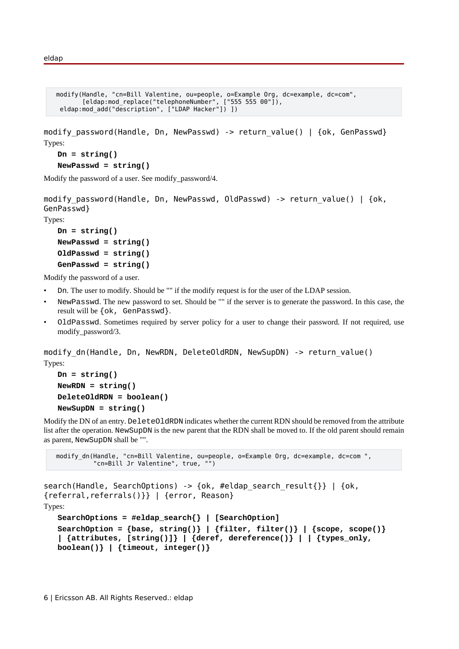```
 modify(Handle, "cn=Bill Valentine, ou=people, o=Example Org, dc=example, dc=com",
       [eldap:mod replace("telephoneNumber", ["555 555 00"]),
  eldap:mod_add("description", ["LDAP Hacker"]) ])
```
modify password(Handle, Dn, NewPasswd) -> return value() | {ok, GenPasswd} Types:

```
Dn = string()
```

```
NewPasswd = string()
```
Modify the password of a user. See modify\_password/4.

```
modify password(Handle, Dn, NewPasswd, OldPasswd) -> return value() | {ok,
GenPasswd}
```
Types:

```
Dn = string()
NewPasswd = string()
OldPasswd = string()
GenPasswd = string()
```
Modify the password of a user.

- Dn. The user to modify. Should be "" if the modify request is for the user of the LDAP session.
- NewPasswd. The new password to set. Should be "" if the server is to generate the password. In this case, the result will be {ok, GenPasswd}.
- OldPasswd. Sometimes required by server policy for a user to change their password. If not required, use modify\_password/3.

modify\_dn(Handle, Dn, NewRDN, DeleteOldRDN, NewSupDN) -> return\_value() Types:

```
Dn = string()
NewRDN = string()
DeleteOldRDN = boolean()
NewSupDN = string()
```
Modify the DN of an entry. DeleteOldRDN indicates whether the current RDN should be removed from the attribute list after the operation. NewSupDN is the new parent that the RDN shall be moved to. If the old parent should remain as parent, NewSupDN shall be "".

```
modify dn(Handle, "cn=Bill Valentine, ou=people, o=Example Org, dc=example, dc=com ",
           "cn=Bill Jr Valentine", true, "")
```

```
search(Handle, SearchOptions) -> {ok, #eldap search result{}} | {ok,
{referral,referrals()}} | {error, Reason}
Types:
   SearchOptions = #eldap_search{} | [SearchOption]
   SearchOption = \{base, string()\} | \{filter, filter() \} | \{scope, scope()\}| {attributes, [string()]} | {deref, dereference()} | | {types_only,
   boolean()} | {timeout, integer()}
```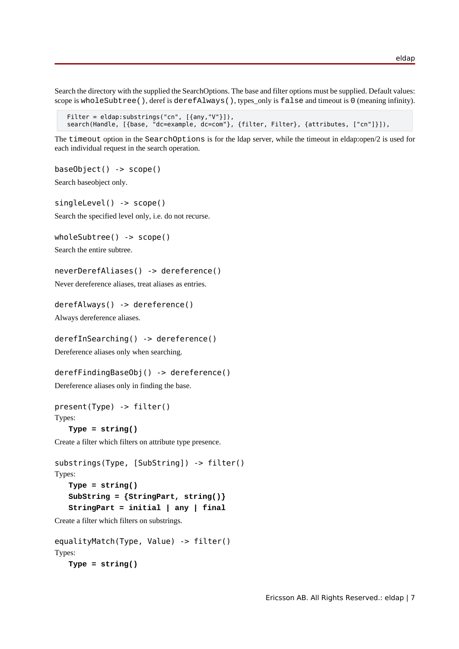Search the directory with the supplied the SearchOptions. The base and filter options must be supplied. Default values: scope is wholeSubtree(), deref is derefAlways(), types only is false and timeout is 0 (meaning infinity).

```
 Filter = eldap:substrings("cn", [{any,"V"}]),
 search(Handle, [{base, "dc=example, dc=com"}, {filter, Filter}, {attributes, ["cn"]}]),
```
The timeout option in the SearchOptions is for the ldap server, while the timeout in eldap:open/2 is used for each individual request in the search operation.

```
baseObject() -> scope()
```
Search baseobject only.

singleLevel() -> scope() Search the specified level only, i.e. do not recurse.

wholeSubtree() -> scope() Search the entire subtree.

```
neverDerefAliases() -> dereference()
```
Never dereference aliases, treat aliases as entries.

```
derefAlways() -> dereference()
```
Always dereference aliases.

```
derefInSearching() -> dereference()
```
Dereference aliases only when searching.

```
derefFindingBaseObj() -> dereference()
```
Dereference aliases only in finding the base.

```
present(Type) -> filter()
Types:
```

```
Type = string()
```
Create a filter which filters on attribute type presence.

```
substrings(Type, [SubString]) -> filter()
Types:
   Type = string()
   SubString = {StringPart, string()}
   StringPart = initial | any | final
```
Create a filter which filters on substrings.

```
equalityMatch(Type, Value) -> filter()
Types:
   Type = string()
```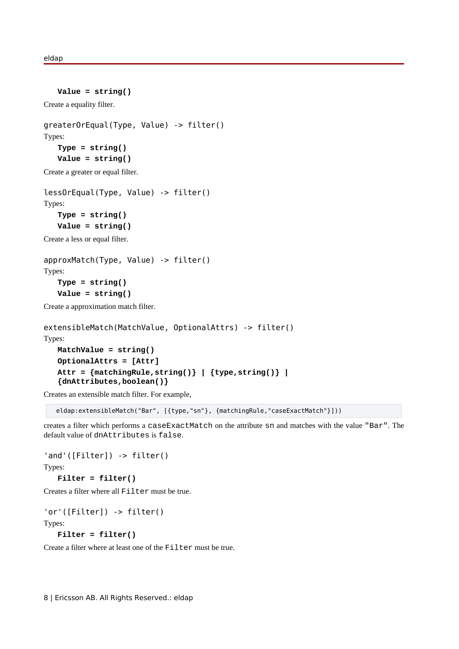```
Value = string()
Create a equality filter.
greaterOrEqual(Type, Value) -> filter()
Types:
   Type = string()
   Value = string()
Create a greater or equal filter.
lessOrEqual(Type, Value) -> filter()
Types:
   Type = string()
   Value = string()
```
Create a less or equal filter.

```
approxMatch(Type, Value) -> filter()
Types:
   Type = string()
   Value = string()
```
Create a approximation match filter.

```
extensibleMatch(MatchValue, OptionalAttrs) -> filter()
Types:
   MatchValue = string()
   OptionalAttrs = [Attr]
   Attr = {matchingRule,string()} | {type,string()} |
   {dnAttributes,boolean()}
```
Creates an extensible match filter. For example,

eldap:extensibleMatch("Bar", [{type,"sn"}, {matchingRule,"caseExactMatch"}]))

creates a filter which performs a caseExactMatch on the attribute sn and matches with the value "Bar". The default value of dnAttributes is false.

'and'([Filter]) -> filter()

Types:

**Filter = filter()**

Creates a filter where all Filter must be true.

```
'or'([Filter]) -> filter()
Types:
```

```
Filter = filter()
```
Create a filter where at least one of the Filter must be true.